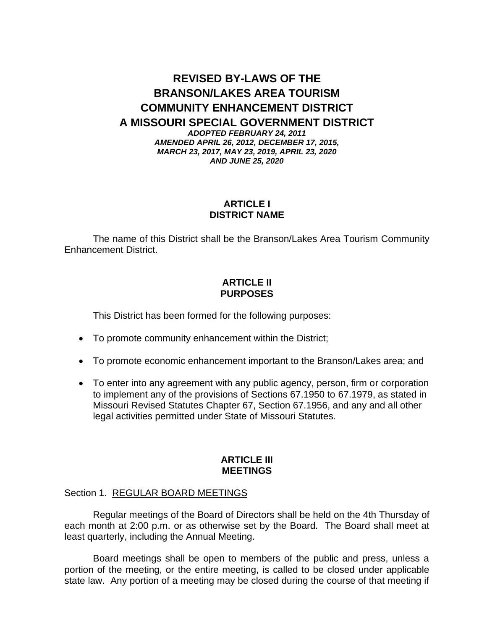# **REVISED BY-LAWS OF THE BRANSON/LAKES AREA TOURISM COMMUNITY ENHANCEMENT DISTRICT A MISSOURI SPECIAL GOVERNMENT DISTRICT**

*ADOPTED FEBRUARY 24, 2011 AMENDED APRIL 26, 2012, DECEMBER 17, 2015, MARCH 23, 2017, MAY 23, 2019, APRIL 23, 2020 AND JUNE 25, 2020*

# **ARTICLE I DISTRICT NAME**

The name of this District shall be the Branson/Lakes Area Tourism Community Enhancement District.

# **ARTICLE II PURPOSES**

This District has been formed for the following purposes:

- To promote community enhancement within the District;
- To promote economic enhancement important to the Branson/Lakes area; and
- To enter into any agreement with any public agency, person, firm or corporation to implement any of the provisions of Sections 67.1950 to 67.1979, as stated in Missouri Revised Statutes Chapter 67, Section 67.1956, and any and all other legal activities permitted under State of Missouri Statutes.

## **ARTICLE III MEETINGS**

# Section 1. REGULAR BOARD MEETINGS

Regular meetings of the Board of Directors shall be held on the 4th Thursday of each month at 2:00 p.m. or as otherwise set by the Board. The Board shall meet at least quarterly, including the Annual Meeting.

Board meetings shall be open to members of the public and press, unless a portion of the meeting, or the entire meeting, is called to be closed under applicable state law. Any portion of a meeting may be closed during the course of that meeting if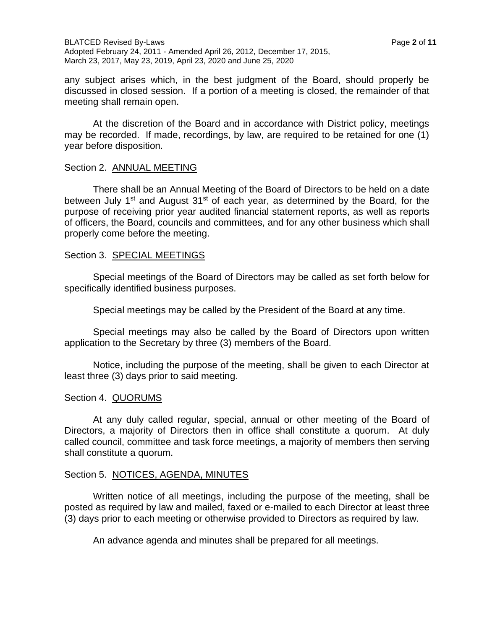any subject arises which, in the best judgment of the Board, should properly be discussed in closed session. If a portion of a meeting is closed, the remainder of that meeting shall remain open.

At the discretion of the Board and in accordance with District policy, meetings may be recorded. If made, recordings, by law, are required to be retained for one (1) year before disposition.

## Section 2. ANNUAL MEETING

There shall be an Annual Meeting of the Board of Directors to be held on a date between July 1<sup>st</sup> and August 31<sup>st</sup> of each year, as determined by the Board, for the purpose of receiving prior year audited financial statement reports, as well as reports of officers, the Board, councils and committees, and for any other business which shall properly come before the meeting.

#### Section 3. SPECIAL MEETINGS

Special meetings of the Board of Directors may be called as set forth below for specifically identified business purposes.

Special meetings may be called by the President of the Board at any time.

Special meetings may also be called by the Board of Directors upon written application to the Secretary by three (3) members of the Board.

Notice, including the purpose of the meeting, shall be given to each Director at least three (3) days prior to said meeting.

## Section 4. QUORUMS

At any duly called regular, special, annual or other meeting of the Board of Directors, a majority of Directors then in office shall constitute a quorum. At duly called council, committee and task force meetings, a majority of members then serving shall constitute a quorum.

## Section 5. NOTICES, AGENDA, MINUTES

Written notice of all meetings, including the purpose of the meeting, shall be posted as required by law and mailed, faxed or e-mailed to each Director at least three (3) days prior to each meeting or otherwise provided to Directors as required by law.

An advance agenda and minutes shall be prepared for all meetings.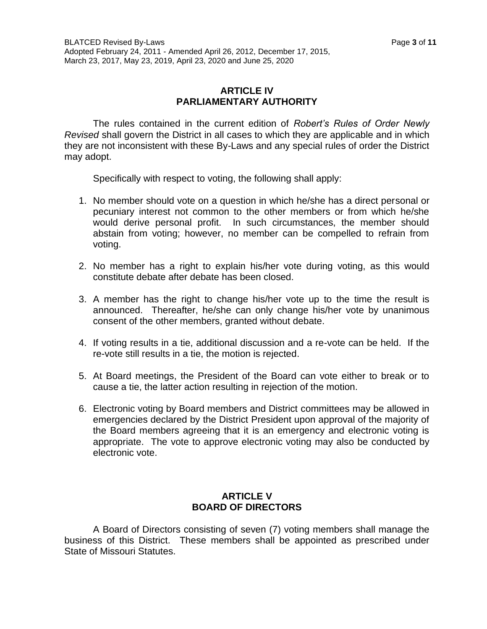# **ARTICLE IV PARLIAMENTARY AUTHORITY**

The rules contained in the current edition of *Robert's Rules of Order Newly Revised* shall govern the District in all cases to which they are applicable and in which they are not inconsistent with these By-Laws and any special rules of order the District may adopt.

Specifically with respect to voting, the following shall apply:

- 1. No member should vote on a question in which he/she has a direct personal or pecuniary interest not common to the other members or from which he/she would derive personal profit. In such circumstances, the member should abstain from voting; however, no member can be compelled to refrain from voting.
- 2. No member has a right to explain his/her vote during voting, as this would constitute debate after debate has been closed.
- 3. A member has the right to change his/her vote up to the time the result is announced. Thereafter, he/she can only change his/her vote by unanimous consent of the other members, granted without debate.
- 4. If voting results in a tie, additional discussion and a re-vote can be held. If the re-vote still results in a tie, the motion is rejected.
- 5. At Board meetings, the President of the Board can vote either to break or to cause a tie, the latter action resulting in rejection of the motion.
- 6. Electronic voting by Board members and District committees may be allowed in emergencies declared by the District President upon approval of the majority of the Board members agreeing that it is an emergency and electronic voting is appropriate. The vote to approve electronic voting may also be conducted by electronic vote.

## **ARTICLE V BOARD OF DIRECTORS**

A Board of Directors consisting of seven (7) voting members shall manage the business of this District. These members shall be appointed as prescribed under State of Missouri Statutes.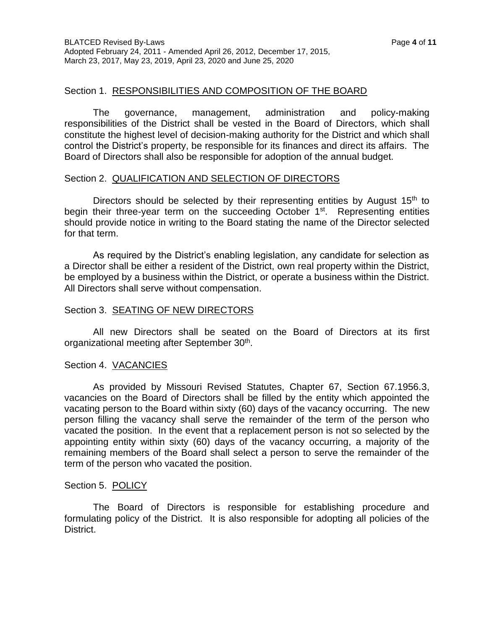#### Section 1. RESPONSIBILITIES AND COMPOSITION OF THE BOARD

The governance, management, administration and policy-making responsibilities of the District shall be vested in the Board of Directors, which shall constitute the highest level of decision-making authority for the District and which shall control the District's property, be responsible for its finances and direct its affairs. The Board of Directors shall also be responsible for adoption of the annual budget.

#### Section 2. QUALIFICATION AND SELECTION OF DIRECTORS

Directors should be selected by their representing entities by August  $15<sup>th</sup>$  to begin their three-year term on the succeeding October 1<sup>st</sup>. Representing entities should provide notice in writing to the Board stating the name of the Director selected for that term.

As required by the District's enabling legislation, any candidate for selection as a Director shall be either a resident of the District, own real property within the District, be employed by a business within the District, or operate a business within the District. All Directors shall serve without compensation.

#### Section 3. SEATING OF NEW DIRECTORS

All new Directors shall be seated on the Board of Directors at its first organizational meeting after September 30<sup>th</sup>.

#### Section 4. VACANCIES

As provided by Missouri Revised Statutes, Chapter 67, Section 67.1956.3, vacancies on the Board of Directors shall be filled by the entity which appointed the vacating person to the Board within sixty (60) days of the vacancy occurring. The new person filling the vacancy shall serve the remainder of the term of the person who vacated the position. In the event that a replacement person is not so selected by the appointing entity within sixty (60) days of the vacancy occurring, a majority of the remaining members of the Board shall select a person to serve the remainder of the term of the person who vacated the position.

#### Section 5. POLICY

The Board of Directors is responsible for establishing procedure and formulating policy of the District. It is also responsible for adopting all policies of the District.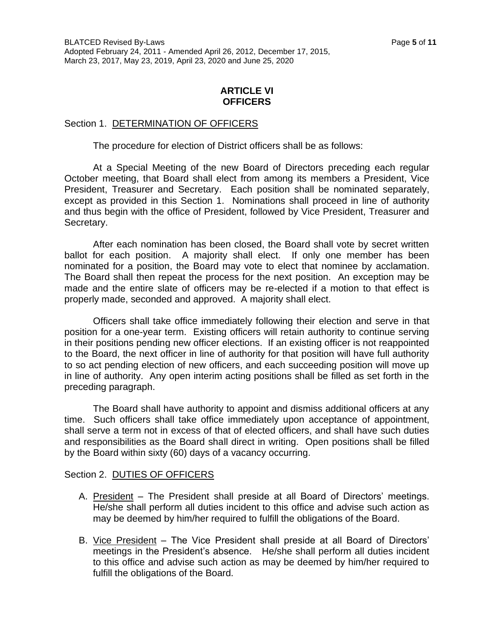# **ARTICLE VI OFFICERS**

## Section 1. DETERMINATION OF OFFICERS

The procedure for election of District officers shall be as follows:

At a Special Meeting of the new Board of Directors preceding each regular October meeting, that Board shall elect from among its members a President, Vice President, Treasurer and Secretary. Each position shall be nominated separately, except as provided in this Section 1. Nominations shall proceed in line of authority and thus begin with the office of President, followed by Vice President, Treasurer and Secretary.

After each nomination has been closed, the Board shall vote by secret written ballot for each position. A majority shall elect. If only one member has been nominated for a position, the Board may vote to elect that nominee by acclamation. The Board shall then repeat the process for the next position. An exception may be made and the entire slate of officers may be re-elected if a motion to that effect is properly made, seconded and approved. A majority shall elect.

Officers shall take office immediately following their election and serve in that position for a one-year term. Existing officers will retain authority to continue serving in their positions pending new officer elections. If an existing officer is not reappointed to the Board, the next officer in line of authority for that position will have full authority to so act pending election of new officers, and each succeeding position will move up in line of authority. Any open interim acting positions shall be filled as set forth in the preceding paragraph.

The Board shall have authority to appoint and dismiss additional officers at any time. Such officers shall take office immediately upon acceptance of appointment, shall serve a term not in excess of that of elected officers, and shall have such duties and responsibilities as the Board shall direct in writing. Open positions shall be filled by the Board within sixty (60) days of a vacancy occurring.

## Section 2. DUTIES OF OFFICERS

- A. President The President shall preside at all Board of Directors' meetings. He/she shall perform all duties incident to this office and advise such action as may be deemed by him/her required to fulfill the obligations of the Board.
- B. Vice President The Vice President shall preside at all Board of Directors' meetings in the President's absence. He/she shall perform all duties incident to this office and advise such action as may be deemed by him/her required to fulfill the obligations of the Board.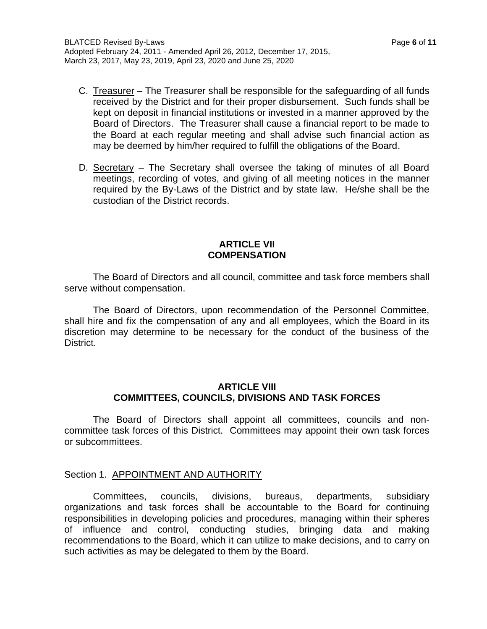- C. Treasurer The Treasurer shall be responsible for the safeguarding of all funds received by the District and for their proper disbursement. Such funds shall be kept on deposit in financial institutions or invested in a manner approved by the Board of Directors. The Treasurer shall cause a financial report to be made to the Board at each regular meeting and shall advise such financial action as may be deemed by him/her required to fulfill the obligations of the Board.
- D. Secretary The Secretary shall oversee the taking of minutes of all Board meetings, recording of votes, and giving of all meeting notices in the manner required by the By-Laws of the District and by state law. He/she shall be the custodian of the District records.

#### **ARTICLE VII COMPENSATION**

The Board of Directors and all council, committee and task force members shall serve without compensation.

The Board of Directors, upon recommendation of the Personnel Committee, shall hire and fix the compensation of any and all employees, which the Board in its discretion may determine to be necessary for the conduct of the business of the District.

## **ARTICLE VIII COMMITTEES, COUNCILS, DIVISIONS AND TASK FORCES**

The Board of Directors shall appoint all committees, councils and noncommittee task forces of this District. Committees may appoint their own task forces or subcommittees.

## Section 1. APPOINTMENT AND AUTHORITY

Committees, councils, divisions, bureaus, departments, subsidiary organizations and task forces shall be accountable to the Board for continuing responsibilities in developing policies and procedures, managing within their spheres of influence and control, conducting studies, bringing data and making recommendations to the Board, which it can utilize to make decisions, and to carry on such activities as may be delegated to them by the Board.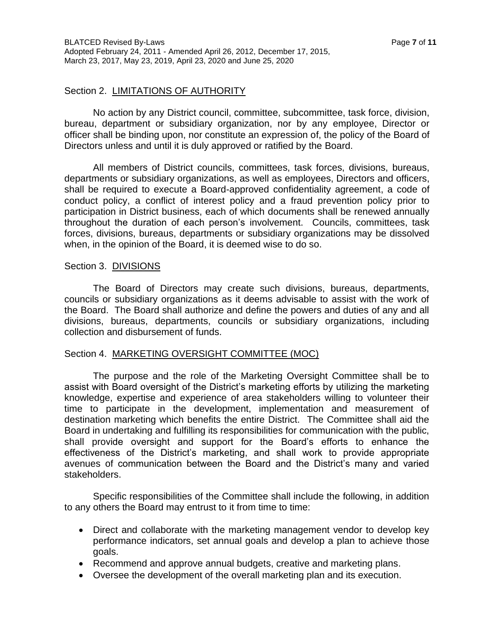## Section 2. LIMITATIONS OF AUTHORITY

No action by any District council, committee, subcommittee, task force, division, bureau, department or subsidiary organization, nor by any employee, Director or officer shall be binding upon, nor constitute an expression of, the policy of the Board of Directors unless and until it is duly approved or ratified by the Board.

All members of District councils, committees, task forces, divisions, bureaus, departments or subsidiary organizations, as well as employees, Directors and officers, shall be required to execute a Board-approved confidentiality agreement, a code of conduct policy, a conflict of interest policy and a fraud prevention policy prior to participation in District business, each of which documents shall be renewed annually throughout the duration of each person's involvement. Councils, committees, task forces, divisions, bureaus, departments or subsidiary organizations may be dissolved when, in the opinion of the Board, it is deemed wise to do so.

#### Section 3. DIVISIONS

The Board of Directors may create such divisions, bureaus, departments, councils or subsidiary organizations as it deems advisable to assist with the work of the Board. The Board shall authorize and define the powers and duties of any and all divisions, bureaus, departments, councils or subsidiary organizations, including collection and disbursement of funds.

## Section 4. MARKETING OVERSIGHT COMMITTEE (MOC)

The purpose and the role of the Marketing Oversight Committee shall be to assist with Board oversight of the District's marketing efforts by utilizing the marketing knowledge, expertise and experience of area stakeholders willing to volunteer their time to participate in the development, implementation and measurement of destination marketing which benefits the entire District. The Committee shall aid the Board in undertaking and fulfilling its responsibilities for communication with the public, shall provide oversight and support for the Board's efforts to enhance the effectiveness of the District's marketing, and shall work to provide appropriate avenues of communication between the Board and the District's many and varied stakeholders.

Specific responsibilities of the Committee shall include the following, in addition to any others the Board may entrust to it from time to time:

- Direct and collaborate with the marketing management vendor to develop key performance indicators, set annual goals and develop a plan to achieve those goals.
- Recommend and approve annual budgets, creative and marketing plans.
- Oversee the development of the overall marketing plan and its execution.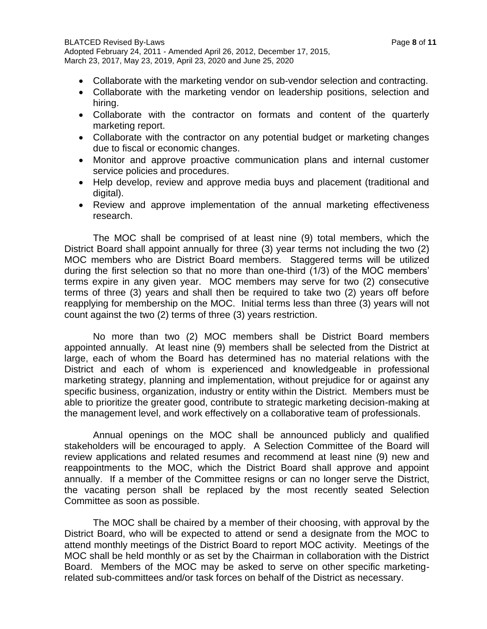- Collaborate with the marketing vendor on sub-vendor selection and contracting.
- Collaborate with the marketing vendor on leadership positions, selection and hiring.
- Collaborate with the contractor on formats and content of the quarterly marketing report.
- Collaborate with the contractor on any potential budget or marketing changes due to fiscal or economic changes.
- Monitor and approve proactive communication plans and internal customer service policies and procedures.
- Help develop, review and approve media buys and placement (traditional and digital).
- Review and approve implementation of the annual marketing effectiveness research.

The MOC shall be comprised of at least nine (9) total members, which the District Board shall appoint annually for three (3) year terms not including the two (2) MOC members who are District Board members. Staggered terms will be utilized during the first selection so that no more than one-third (1/3) of the MOC members' terms expire in any given year. MOC members may serve for two (2) consecutive terms of three (3) years and shall then be required to take two (2) years off before reapplying for membership on the MOC. Initial terms less than three (3) years will not count against the two (2) terms of three (3) years restriction.

No more than two (2) MOC members shall be District Board members appointed annually. At least nine (9) members shall be selected from the District at large, each of whom the Board has determined has no material relations with the District and each of whom is experienced and knowledgeable in professional marketing strategy, planning and implementation, without prejudice for or against any specific business, organization, industry or entity within the District. Members must be able to prioritize the greater good, contribute to strategic marketing decision-making at the management level, and work effectively on a collaborative team of professionals.

Annual openings on the MOC shall be announced publicly and qualified stakeholders will be encouraged to apply. A Selection Committee of the Board will review applications and related resumes and recommend at least nine (9) new and reappointments to the MOC, which the District Board shall approve and appoint annually. If a member of the Committee resigns or can no longer serve the District, the vacating person shall be replaced by the most recently seated Selection Committee as soon as possible.

The MOC shall be chaired by a member of their choosing, with approval by the District Board, who will be expected to attend or send a designate from the MOC to attend monthly meetings of the District Board to report MOC activity. Meetings of the MOC shall be held monthly or as set by the Chairman in collaboration with the District Board. Members of the MOC may be asked to serve on other specific marketingrelated sub-committees and/or task forces on behalf of the District as necessary.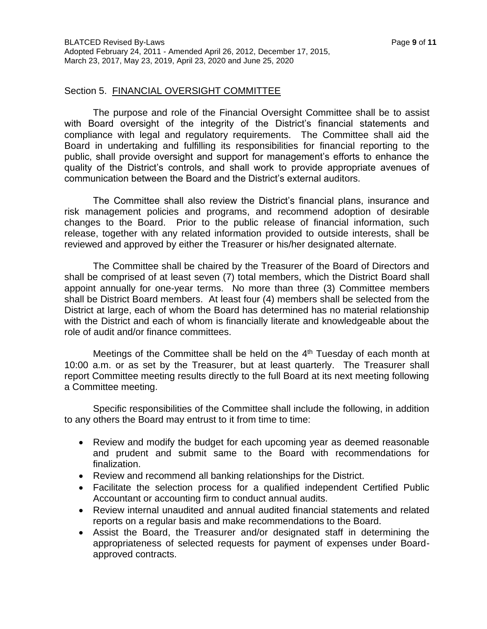The purpose and role of the Financial Oversight Committee shall be to assist with Board oversight of the integrity of the District's financial statements and compliance with legal and regulatory requirements. The Committee shall aid the Board in undertaking and fulfilling its responsibilities for financial reporting to the public, shall provide oversight and support for management's efforts to enhance the quality of the District's controls, and shall work to provide appropriate avenues of communication between the Board and the District's external auditors.

The Committee shall also review the District's financial plans, insurance and risk management policies and programs, and recommend adoption of desirable changes to the Board. Prior to the public release of financial information, such release, together with any related information provided to outside interests, shall be reviewed and approved by either the Treasurer or his/her designated alternate.

The Committee shall be chaired by the Treasurer of the Board of Directors and shall be comprised of at least seven (7) total members, which the District Board shall appoint annually for one-year terms. No more than three (3) Committee members shall be District Board members. At least four (4) members shall be selected from the District at large, each of whom the Board has determined has no material relationship with the District and each of whom is financially literate and knowledgeable about the role of audit and/or finance committees.

Meetings of the Committee shall be held on the  $4<sup>th</sup>$  Tuesday of each month at 10:00 a.m. or as set by the Treasurer, but at least quarterly. The Treasurer shall report Committee meeting results directly to the full Board at its next meeting following a Committee meeting.

Specific responsibilities of the Committee shall include the following, in addition to any others the Board may entrust to it from time to time:

- Review and modify the budget for each upcoming year as deemed reasonable and prudent and submit same to the Board with recommendations for finalization.
- Review and recommend all banking relationships for the District.
- Facilitate the selection process for a qualified independent Certified Public Accountant or accounting firm to conduct annual audits.
- Review internal unaudited and annual audited financial statements and related reports on a regular basis and make recommendations to the Board.
- Assist the Board, the Treasurer and/or designated staff in determining the appropriateness of selected requests for payment of expenses under Boardapproved contracts.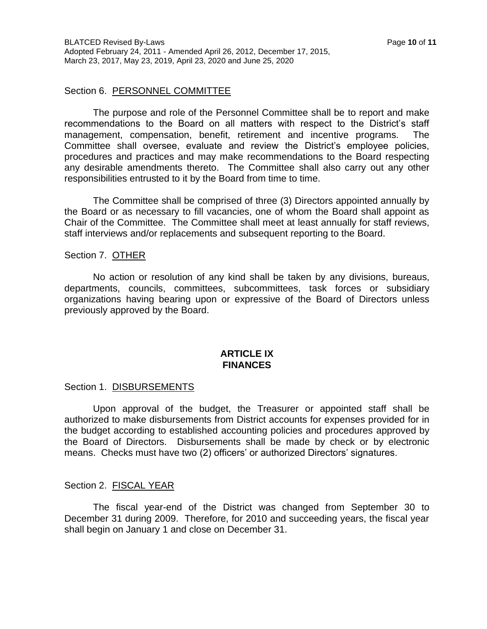#### Section 6. PERSONNEL COMMITTEE

The purpose and role of the Personnel Committee shall be to report and make recommendations to the Board on all matters with respect to the District's staff management, compensation, benefit, retirement and incentive programs. The Committee shall oversee, evaluate and review the District's employee policies, procedures and practices and may make recommendations to the Board respecting any desirable amendments thereto. The Committee shall also carry out any other responsibilities entrusted to it by the Board from time to time.

The Committee shall be comprised of three (3) Directors appointed annually by the Board or as necessary to fill vacancies, one of whom the Board shall appoint as Chair of the Committee. The Committee shall meet at least annually for staff reviews, staff interviews and/or replacements and subsequent reporting to the Board.

#### Section 7. OTHER

No action or resolution of any kind shall be taken by any divisions, bureaus, departments, councils, committees, subcommittees, task forces or subsidiary organizations having bearing upon or expressive of the Board of Directors unless previously approved by the Board.

#### **ARTICLE IX FINANCES**

#### Section 1. DISBURSEMENTS

Upon approval of the budget, the Treasurer or appointed staff shall be authorized to make disbursements from District accounts for expenses provided for in the budget according to established accounting policies and procedures approved by the Board of Directors. Disbursements shall be made by check or by electronic means. Checks must have two (2) officers' or authorized Directors' signatures.

#### Section 2. FISCAL YEAR

The fiscal year-end of the District was changed from September 30 to December 31 during 2009. Therefore, for 2010 and succeeding years, the fiscal year shall begin on January 1 and close on December 31.